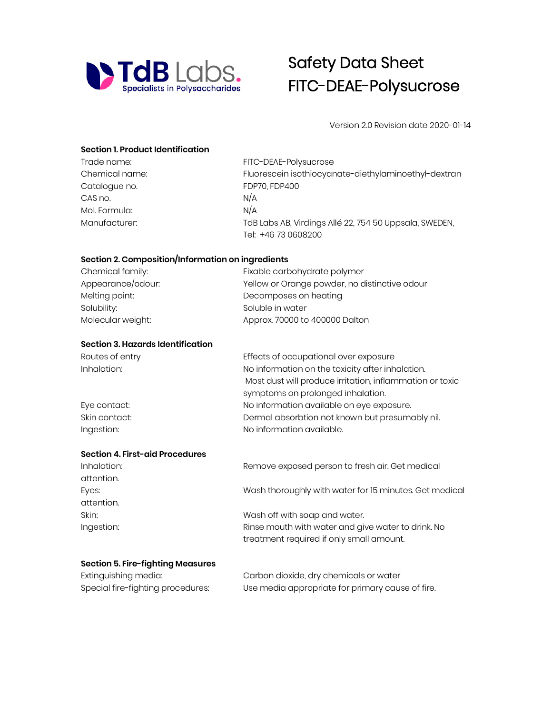

# Safety Data Sheet FITC-DEAE-Polysucrose

Version 2.0 Revision date 2020-01-14

## **Section 1. Product Identification**

| Trade name:    | FITC-DEAE-Polysucrose                                  |
|----------------|--------------------------------------------------------|
| Chemical name: | Fluorescein isothiocyanate-diethylaminoethyl-dextran   |
| Catalogue no.  | FDP70, FDP400                                          |
| CAS no.        | N/A                                                    |
| Mol. Formula:  | N/A                                                    |
| Manufacturer:  | TdB Labs AB, Virdings Allé 22, 754 50 Uppsala, SWEDEN, |
|                | Tel: +46 73 0608200                                    |

# **Section 2. Composition/Information on ingredients**

| Chemical family:  | Fixable carbohydrate polymer<br>Yellow or Orange powder, no distinctive odour |  |
|-------------------|-------------------------------------------------------------------------------|--|
| Appearance/odour: |                                                                               |  |
| Melting point:    | Decomposes on heating                                                         |  |
| Solubility:       | Soluble in water                                                              |  |
| Molecular weight: | Approx. 70000 to 400000 Dalton                                                |  |

# **Section 3. Hazards Identification**

| Routes of entry | Effects of occupational over exposure                    |
|-----------------|----------------------------------------------------------|
| Inhalation:     | No information on the toxicity after inhalation.         |
|                 | Most dust will produce irritation, inflammation or toxic |
|                 | symptoms on prolonged inhalation.                        |
| Eye contact:    | No information available on eye exposure.                |
| Skin contact:   | Dermal absorbtion not known but presumably nil.          |
| Ingestion:      | No information available.                                |

# **Section 4. First-aid Procedures**

| Inhalation: | Remove exposed person to fresh air. Get medical        |
|-------------|--------------------------------------------------------|
| attention.  |                                                        |
| Eyes:       | Wash thoroughly with water for 15 minutes. Get medical |
| attention.  |                                                        |
| Skin:       | Wash off with soap and water.                          |
| Ingestion:  | Rinse mouth with water and give water to drink. No     |
|             | treatment required if only small amount.               |
|             |                                                        |

# **Section 5. Fire-fighting Measures**

| Extinguishing media:              | Carbon dioxide, dry chemicals or water           |
|-----------------------------------|--------------------------------------------------|
| Special fire-fighting procedures: | Use media appropriate for primary cause of fire. |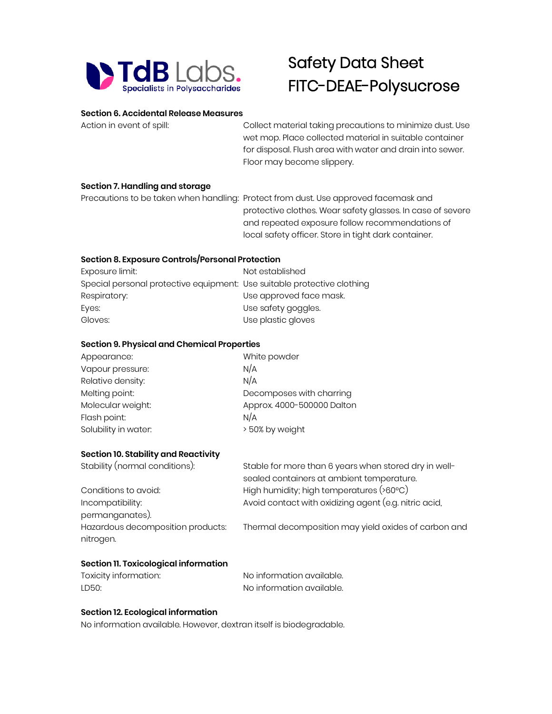

# Safety Data Sheet FITC-DEAE-Polysucrose

#### **Section 6. Accidental Release Measures**

Action in event of spill: Collect material taking precautions to minimize dust. Use wet mop. Place collected material in suitable container for disposal. Flush area with water and drain into sewer. Floor may become slippery.

### **Section 7. Handling and storage**

Precautions to be taken when handling: Protect from dust. Use approved facemask and protective clothes. Wear safety glasses. In case of severe and repeated exposure follow recommendations of local safety officer. Store in tight dark container.

# **Section 8. Exposure Controls/Personal Protection**

| Not established                                                         |
|-------------------------------------------------------------------------|
| Special personal protective equipment: Use suitable protective clothing |
| Use approved face mask.                                                 |
| Use safety goggles.                                                     |
| Use plastic gloves                                                      |
|                                                                         |

#### **Section 9. Physical and Chemical Properties**

| White powder               |
|----------------------------|
| N/A                        |
| N/A                        |
| Decomposes with charring   |
| Approx. 4000-500000 Dalton |
| N/A                        |
| > 50% by weight            |
|                            |

### **Section 10. Stability and Reactivity**

| Stability (normal conditions):    | Stable for more than 6 years when stored dry in well-     |  |
|-----------------------------------|-----------------------------------------------------------|--|
|                                   | sealed containers at ambient temperature.                 |  |
| Conditions to avoid:              | High humidity; high temperatures $($ >60 $^{\circ}$ C $)$ |  |
| Incompatibility:                  | Avoid contact with oxidizing agent (e.g. nitric acid,     |  |
| permanganates).                   |                                                           |  |
| Hazardous decomposition products: | Thermal decomposition may yield oxides of carbon and      |  |
| nitrogen.                         |                                                           |  |

### **Section 11. Toxicological information**

| Toxicity information: | No information available. |
|-----------------------|---------------------------|
| LD50:                 | No information available. |

## **Section 12. Ecological information**

No information available. However, dextran itself is biodegradable.